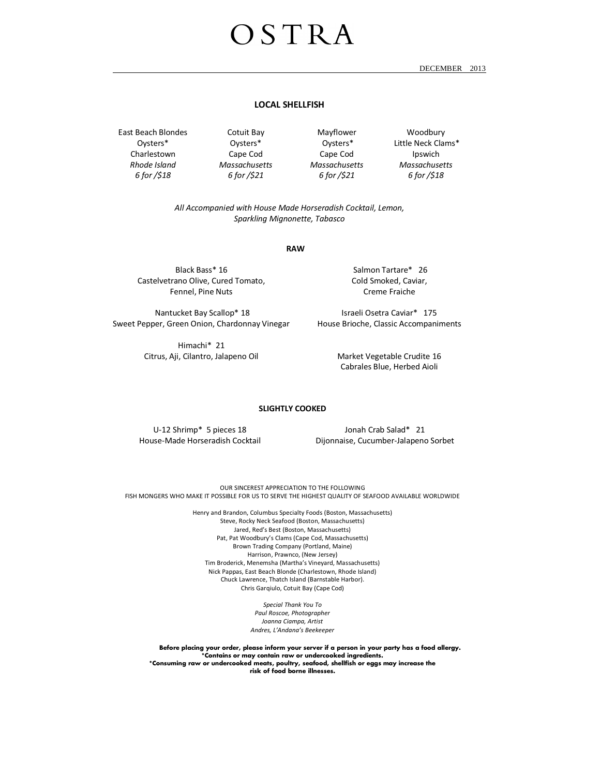# $0 S T R A$

DECEMBER 2013

### **LOCAL SHELLFISH**

East Beach Blondes Oysters\* Charlestown *Rhode Island 6 for /\$18* 

Cotuit Bay Oysters\* Cape Cod *Massachusetts 6 for /\$21* 

Mayflower Oysters\* Cape Cod *Massachusetts 6 for /\$21* 

Woodbury Little Neck Clams\* Ipswich *Massachusetts 6 for /\$18* 

*All Accompanied with House Made Horseradish Cocktail, Lemon, Sparkling Mignonette, Tabasco* 

**RAW** 

Black Bass\* 16 Castelvetrano Olive, Cured Tomato, Fennel, Pine Nuts

 Nantucket Bay Scallop\* 18 Sweet Pepper, Green Onion, Chardonnay Vinegar

> Himachi\* 21 Citrus, Aji, Cilantro, Jalapeno Oil

 Salmon Tartare\* 26 Cold Smoked, Caviar, Creme Fraiche

Israeli Osetra Caviar\* 175 House Brioche, Classic Accompaniments

> Market Vegetable Crudite 16 Cabrales Blue, Herbed Aioli

#### **SLIGHTLY COOKED**

U-12 Shrimp\* 5 pieces 18 House-Made Horseradish Cocktail

Jonah Crab Salad\* 21 Dijonnaise, Cucumber-Jalapeno Sorbet

OUR SINCEREST APPRECIATION TO THE FOLLOWING FISH MONGERS WHO MAKE IT POSSIBLE FOR US TO SERVE THE HIGHEST QUALITY OF SEAFOOD AVAILABLE WORLDWIDE

> Henry and Brandon, Columbus Specialty Foods (Boston, Massachusetts) Steve, Rocky Neck Seafood (Boston, Massachusetts) Jared, Red's Best (Boston, Massachusetts) Pat, Pat Woodbury's Clams (Cape Cod, Massachusetts) Brown Trading Company (Portland, Maine) Harrison, Prawnco, (New Jersey) Tim Broderick, Menemsha (Martha's Vineyard, Massachusetts) Nick Pappas, East Beach Blonde (Charlestown, Rhode Island) Chuck Lawrence, Thatch Island (Barnstable Harbor). Chris Garqiulo, Cotuit Bay (Cape Cod)

> > *Special Thank You To Paul Roscoe, Photographer Joanna Ciampa, Artist Andres, L'Andana's Beekeeper*

**Before placing your order, please inform your server if a person in your party has a food allergy. \*Contains or may contain raw or undercooked ingredients. \*Consuming raw or undercooked meats, poultry, seafood, shellfish or eggs may increase the risk of food borne illnesses.**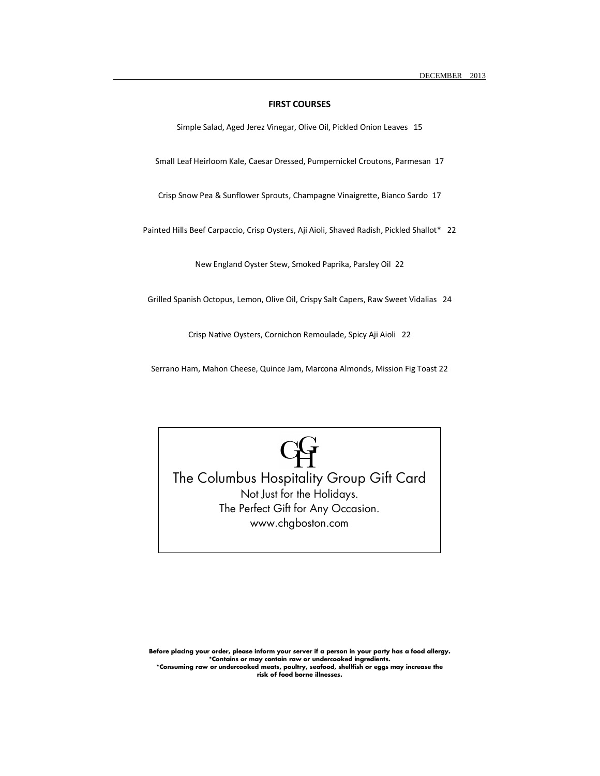## **FIRST COURSES**

Simple Salad, Aged Jerez Vinegar, Olive Oil, Pickled Onion Leaves 15

Small Leaf Heirloom Kale, Caesar Dressed, Pumpernickel Croutons, Parmesan 17

Crisp Snow Pea & Sunflower Sprouts, Champagne Vinaigrette, Bianco Sardo 17

Painted Hills Beef Carpaccio, Crisp Oysters, Aji Aioli, Shaved Radish, Pickled Shallot\* 22

New England Oyster Stew, Smoked Paprika, Parsley Oil 22

Grilled Spanish Octopus, Lemon, Olive Oil, Crispy Salt Capers, Raw Sweet Vidalias 24

Crisp Native Oysters, Cornichon Remoulade, Spicy Aji Aioli 22

Serrano Ham, Mahon Cheese, Quince Jam, Marcona Almonds, Mission Fig Toast 22



The Columbus Hospitality Group Gift Card Not Just for the Holidays. The Perfect Gift for Any Occasion. www.chgboston.com

**Before placing your order, please inform your server if a person in your party has a food allergy. \*Contains or may contain raw or undercooked ingredients. \*Consuming raw or undercooked meats, poultry, seafood, shellfish or eggs may increase the risk of food borne illnesses.**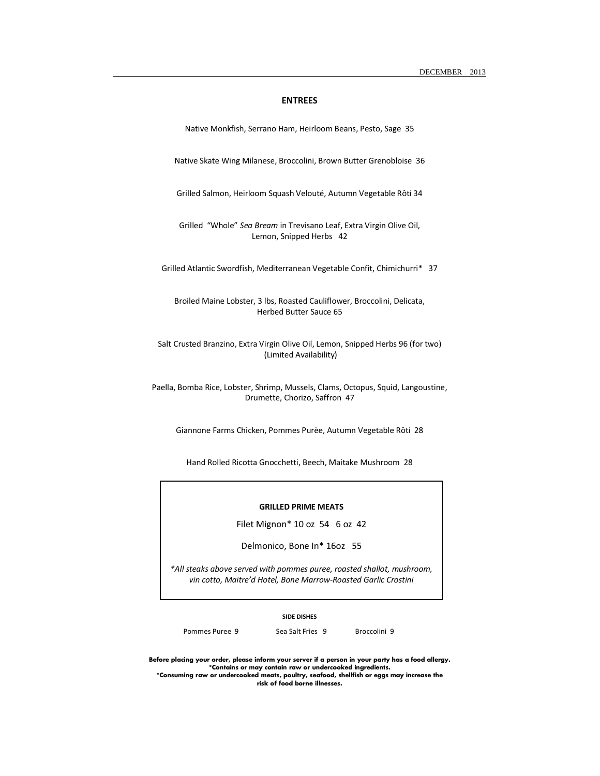#### **ENTREES**

Native Monkfish, Serrano Ham, Heirloom Beans, Pesto, Sage 35

Native Skate Wing Milanese, Broccolini, Brown Butter Grenobloise 36

Grilled Salmon, Heirloom Squash Velouté, Autumn Vegetable Rôtí 34

Grilled "Whole" *Sea Bream* in Trevisano Leaf, Extra Virgin Olive Oil, Lemon, Snipped Herbs 42

Grilled Atlantic Swordfish, Mediterranean Vegetable Confit, Chimichurri\* 37

Broiled Maine Lobster, 3 lbs, Roasted Cauliflower, Broccolini, Delicata, Herbed Butter Sauce 65

Salt Crusted Branzino, Extra Virgin Olive Oil, Lemon, Snipped Herbs 96 (for two) (Limited Availability)

Paella, Bomba Rice, Lobster, Shrimp, Mussels, Clams, Octopus, Squid, Langoustine, Drumette, Chorizo, Saffron 47

Giannone Farms Chicken, Pommes Purèe, Autumn Vegetable Rôtí 28

Hand Rolled Ricotta Gnocchetti, Beech, Maitake Mushroom 28

#### **GRILLED PRIME MEATS GRILLED PRIME MEATS**

Filet Mignon\* 10 oz 54 6 oz 42

Delmonico, Bone In\* 16oz 55

\*All steaks above served with pommes puree, roasted shallot, mushroom, vin cotto, Maitre'd Hotel, Bone Marrow-Roasted Garlic Crostini

#### **SIDE DISHES**

Pommes Puree 9 Sea Salt Fries 9 Broccolini 9

**Before placing your order, please inform your server if a person in your party has a food allergy. \*Contains or may contain raw or undercooked ingredients. \*Consuming raw or undercooked meats, poultry, seafood, shellfish or eggs may increase the** 

**risk of food borne illnesses.**